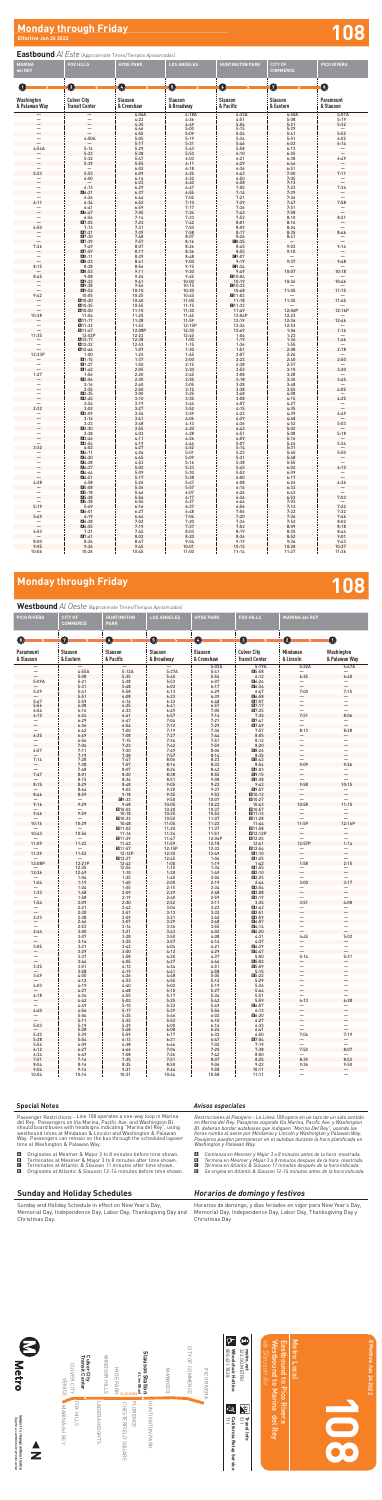## **Effective Jun 26 2022 Monday through Friday and Second Property Conduct 2008**

### **Eastbound** *Al Este* (Approximate Times/*Tiempos Aproximados)*

- **△** Originates at Mesmer & Major 3 to 8 minutes before time shown.<br>**■** Terminates at Mesmer & Major 3 to 8 minutes after time shown.<br>■ Terminates at Atlantic & Slauson 12-14 minutes after time shown.<br>■ Originates at Atlan
- B Terminates at Mesmer & Major 3 to 8 minutes after time shown. C Terminates at Atlantic & Slauson 11 minutes after time shown. D Originates at Atlantic & Slauson 12-14 minutes before time shown.
- 

|                               |                      | Westbound Al Oeste (Approximate Times/Tiempos Aproximados) |                       |                       |                                             |                          |                               |
|-------------------------------|----------------------|------------------------------------------------------------|-----------------------|-----------------------|---------------------------------------------|--------------------------|-------------------------------|
| PICO RIVERA                   | <b>CITY OF</b>       | <b>HUNTINGTON</b>                                          | <b>LOS ANGELES</b>    | <b>HYDE PARK</b>      | <b>FOX HILLS</b>                            | <b>MARINA del REY</b>    |                               |
|                               | <b>COMMERCE</b>      | <b>PARK</b>                                                |                       |                       |                                             |                          |                               |
|                               |                      |                                                            |                       |                       |                                             |                          |                               |
| $\bullet$                     | Ø                    | ➊                                                          | ❺                     | Ø                     | ➊                                           | ❷                        | $\mathbf 0$                   |
| <b>Paramount</b><br>& Slauson | Slauson<br>& Eastern | <b>Slauson</b><br>& Pacific                                | Slauson<br>& Broadway | Slauson<br>& Crenshaw | <b>Culver City</b><br><b>Transit Center</b> | Mindanao<br>& Lincoln    | Washington<br>& Palawan Way   |
|                               | 4:55A                | 5:12A                                                      | 5:27A                 | 5:02A                 | 5:19A<br>■5:58                              | 5:32A                    | 5:47A                         |
| $\overline{\phantom{0}}$      | 5:08                 | 5:25                                                       | 5:40                  | 5:41<br>5:54          | 6:12                                        | 6:25                     | 6:40                          |
| 5:09A                         | 5:21                 | 5:38                                                       | 5:53                  | 6:07                  | ■6:24                                       | Ξ                        | $\bar{a}$                     |
|                               | 5:31                 | 5:48                                                       | 6:03                  | 6:17<br>6:29          | ■6:34<br>6:47                               |                          |                               |
| 5:29                          | 5:41<br>5:51         | 5:58<br>6:08                                               | 6:13<br>6:23          | 6:39                  | 图6:58                                       | 7:00                     | 7:15<br>—                     |
| 5:47                          | 5:59                 | 6:16                                                       | 6:32                  | 6:48                  | ■7:07                                       |                          |                               |
| 5:56                          | 6:08                 | 6:25                                                       | 6:41                  | 6:57                  | 图7:17                                       | $\equiv$                 | $\bar{=}$                     |
| 6:04                          | 6:16                 | 6:33                                                       | 6:49                  | 7:05                  | 图7:25                                       | 7:51                     |                               |
| 6:12                          | 6:24<br>6:29         | 6:41<br>6:47                                               | 6:57<br>7:04          | 7:14<br>7:21          | 7:35<br>图7:41                               |                          | 8:06                          |
| Ξ                             | 6:36                 | $6:54$<br>$7:00$                                           | 7:12                  | 7:29                  | $\frac{137:49}{7:57}$                       | $\frac{-}{8:13}$         | $\equiv$                      |
|                               | 6:42                 |                                                            | 7:19                  | 7:36                  |                                             |                          | 8:28                          |
| 6:35                          | 6:49                 | 7:08                                                       | 7:27                  | 7:44                  | 8:05                                        |                          |                               |
| Ξ                             | 6:56<br>7:04         | 7:15<br>7:23                                               | 7:34<br>7:42          | $7:51$<br>$7:59$      | 8:12<br>8:20                                | $\overline{\phantom{a}}$ | $\equiv$                      |
| 6:57                          | 7:11                 | 7:30                                                       | 7:49                  | 8:06                  | 图8:26                                       |                          |                               |
|                               | 7:19                 | 7:38                                                       | 7:57                  | 8:14                  | 8:35                                        |                          | $\equiv$                      |
| 7:14                          | 7:28                 | 7:47                                                       | 8:06                  | 8:23                  | ■8:43                                       |                          |                               |
|                               | 7:38<br>7:48         | 7:57<br>8:07                                               | 8:16<br>8:26          | 8:33                  | 8:54<br>图9:03                               | 9:09                     | 9:26                          |
| 7:47                          | 8:01                 | 8:20                                                       | 8:38                  | $8:43$<br>$8:55$      | 图9:15                                       | $\overline{\phantom{0}}$ | $\equiv$                      |
|                               | 8:15                 | 8:34                                                       | 8:51                  | 9:08                  | 图9:28                                       |                          |                               |
| 8:15                          | 8:29                 | 8:48                                                       | 9:05                  | $9:22$<br>$9:37$      | 9:43                                        | 9:58                     | 10:15                         |
| 8:46                          | 8:44<br>8:59         | 9:03<br>9:18                                               | 9:20<br>9:35          | 9:52                  | 图9:57<br>图10:12                             | $\bar{=}$                |                               |
|                               |                      | 回9:33                                                      | 9:50                  | 10:07                 | ■10:27                                      |                          |                               |
| 9:16                          | 9:29                 | 9:48                                                       | 10:05                 | 10:22                 | 10:43                                       | 10:58                    | 11:15                         |
|                               |                      | 回10:03                                                     | 10:20                 | 10:37                 | ■10:57                                      |                          |                               |
| 9:46                          | 9:59                 | 10:18<br>回10:33                                            | 10:35                 | 10:52<br>11:07        | 图11:12<br>■11:28                            | $\overline{\phantom{0}}$ | $\overline{a}$                |
| 10:16                         | 10:29                | 10:48                                                      | 10:50<br>11:05        | 11:22                 | 11:44                                       | 11:59                    | 12:16P                        |
|                               |                      | 回11:02                                                     | 11:20                 |                       | ■11:58                                      |                          |                               |
| 10:43                         | 10:56                | 11:16                                                      | 11:34                 | 11:37<br>11:51        | <b>图12:12P</b>                              | $\overline{\phantom{0}}$ | $\overline{\phantom{0}}$      |
|                               |                      | 回11:29                                                     | 11:47                 | 12:04P                | ■12:25                                      |                          |                               |
| 11:09                         | 11:22                | 11:42                                                      | 11:59<br>12:15P       | 12:18                 | 12:41<br>图12:54                             | 12:57P                   | 1:14                          |
| 11:39                         | 11:52                | <b>D</b> 11:57<br>12:12P                                   | 12:30                 | 12:33<br>12:49        | [31:10]                                     | Ξ                        | $\overline{a}$                |
|                               |                      | D12:27                                                     | 12:45                 | 1:04                  | B1:25                                       |                          |                               |
| 12:08P                        | 12:21P               | 12:42                                                      | 1:00                  | 1:19                  | 1:42                                        | 1:58                     | 2:15                          |
| 12:36                         | 12:35<br>12:49       | 12:56<br>1:10                                              | 1:15<br>1:30          | 1:34<br>1:49          | 图1:55<br>图2:10                              | $\overline{\phantom{0}}$ | $\bar{=}$                     |
|                               | 1:04                 | $\frac{1:25}{1:40}$                                        | 1:45                  | 2:04                  | B2:25                                       |                          |                               |
| 1:04                          | 1:19                 |                                                            | 2:00                  | 2:19                  | 2:44                                        | 3:00                     | 3:17                          |
|                               | 1:34                 | 1:55                                                       | 2:15                  | 2:34                  | <b>E2:54</b>                                |                          | $\overline{a}$                |
| 1:33                          | 1:48<br>1:58         | 2:09<br>2:19                                               | 2:29<br>2:40          | 2:48<br>2:59          | ■3:08<br>■3:19                              |                          |                               |
| 1:54                          | 2:09                 | 2:30                                                       | 2:52                  | 3:11                  | 3:35                                        | 3:51                     | 4:08                          |
|                               | $2:21$<br>$2:30$     | $2:42$<br>$2:51$                                           | $3:04$<br>$3:13$      | $3:23$<br>$3:32$      | 图3:42                                       | $\equiv$                 | $\bar{=}$                     |
|                               |                      |                                                            |                       |                       | B3:51                                       |                          |                               |
| 2:23                          | 2:38<br>2:46         | 2:59<br>3:07                                               | 3:21<br>3:29          | 3:40<br>3:48          | 图3:59<br>图4:07                              | $\overline{\phantom{0}}$ | $\bar{=}$                     |
|                               | 2:53                 | 3:14                                                       | 3:36                  | 3:55                  | E4:14                                       |                          |                               |
| 2:44                          | 3:00                 | 3:21                                                       | 3:43                  | 4:02                  | 图4:20                                       | $\overline{\phantom{0}}$ | $\equiv$                      |
|                               | 3:07                 | 3:28                                                       | 3:50                  | 4:08                  | 4:31                                        | 4:45                     | 5:02                          |
| 3:05                          | 3:14<br>3:21         | 3:35<br>3:42                                               | 3:57<br>4:04          | 4:14<br>4:21          | 4:37<br>■4:39                               |                          |                               |
| $\qquad \qquad -$             | 3:29                 | 3:50                                                       | 4:12                  | 4:29                  | 图4:47                                       | Ξ                        | Ξ                             |
| —                             | 3:37                 | 3:58                                                       | 4:20                  | 4:37                  | 5:00                                        | 5:14                     | 5:31                          |
| $\overline{\phantom{0}}$      | 3:44                 | 4:05                                                       | 4:27                  | 4:44                  | ■5:02                                       |                          |                               |
| 3:35                          | 3:51<br>3:58         | 4:12<br>4:19                                               | 4:34<br>4:41          | 4:51<br>4:58          | 回5:09<br>5:15                               |                          | $\equiv$                      |
| 3:49                          | 4:05                 | 4:26                                                       | 4:48                  | 5:05                  | ■5:23                                       |                          |                               |
| $-$                           | 4:12                 | 4:33                                                       | 4:55                  | 5:12                  | 5:29                                        |                          | $\equiv$                      |
| 4:03                          | 4:19                 | 4:40                                                       | 5:02                  | 5:19                  | 5:36                                        |                          | $\equiv$                      |
| $-$                           | 4:27                 | 4:48                                                       | 5:10                  | 5:27                  | 5:44                                        |                          |                               |
| 4:18<br>$-$                   | 4:34<br>4:42         | 4:55<br>5:03                                               | 5:17<br>5:25          | 5:34<br>5:42          | 5:51<br>5:59                                | 6:13                     | —<br>6:28                     |
|                               | 4:49                 | 5:10                                                       | 5:32                  | 5:49                  | ■6:07                                       |                          |                               |
| 4:40                          | 4:56                 | 5:17                                                       | 5:39                  | 5:56                  | 6:13                                        | $\equiv$                 | $\equiv$                      |
| $\equiv$                      | 5:04                 | 5:25                                                       | 5:46                  | 6:03                  | ■6:20                                       | $\equiv$                 | $\equiv$                      |
| 5:03                          | 5:11<br>5:19         | 5:32<br>5:39                                               | 5:53<br>6:00          | 6:10<br>6:16          | 6:27<br>6:33                                |                          |                               |
| $\overline{\phantom{0}}$      | 5:28                 | 5:48                                                       | 6:08                  | 6:24                  | 6:41                                        | $\overline{\phantom{a}}$ | $\equiv$                      |
| 5:23                          | 5:39                 | 5:59                                                       | 6:17                  | 6:33                  | 6:50                                        | 7:04                     | 7:19                          |
| 5:38                          | 5:54                 | 6:13                                                       | 6:31                  | 6:47                  | ■7:04                                       | —                        | —                             |
| 5:54<br>6:12                  | 6:09<br>6:27         | 6:28<br>6:46                                               | 6:46<br>7:04          | 7:02<br>7:20          | 7:19<br>7:38                                | 7:52                     | —<br>8:07                     |
| 6:34                          | 6:49                 | 7:08                                                       | 7:26                  | 7:42                  | 8:00                                        |                          |                               |
| 7:01                          | 7:16                 | 7:35                                                       | 7:51                  | 8:07                  | 8:25                                        | 8:39                     | 8:53                          |
| 8:04                          | 8:16                 | 8:35                                                       | 8:50                  | 9:06                  | 9:23                                        | 9:36                     | 9:50                          |
| 9:04<br>10:04                 | 9:16<br>10:16        | 9:31<br>10:31                                              | 9:44<br>10:44         | 9:58<br>10:58         | 10:11<br>11:11                              | —                        | $\overline{\phantom{0}}$<br>— |
|                               |                      |                                                            |                       |                       |                                             |                          |                               |

| <b>MARINA</b>                    | <b>FOX HILLS</b>                            | <b>HYDE PARK</b>      | <b>LOS ANGELES</b>           | <b>HUNTINGTON PARK</b> | <b>CITY OF</b>       | <b>PICO RIVERA</b>                      |
|----------------------------------|---------------------------------------------|-----------------------|------------------------------|------------------------|----------------------|-----------------------------------------|
| del REY                          |                                             |                       |                              |                        | COMMERCE             |                                         |
|                                  |                                             |                       |                              |                        |                      |                                         |
| $\left( \mathbf{1}\right)$       | 0                                           | Ø                     | O                            | O                      | $\boxed{7}$          | $\mathbf 0$                             |
| Washington<br>& Palawan Way      | <b>Culver City</b><br><b>Transit Center</b> | Slauson<br>& Crenshaw | <b>Slauson</b><br>& Broadway | Slauson<br>& Pacific   | Slauson<br>& Eastern | <b>Paramount</b><br>& Slauson           |
|                                  |                                             | 4:04A                 | 4:18A                        | 4:33A                  | 4:50A                | 5:01A                                   |
| Ξ                                | $\overline{\phantom{0}}$                    | 4:22<br>4:35          | 4:36<br>4:49                 | 4:51<br>5:04           | $5:08$<br>$5:21$     | 5:19<br>5:32                            |
| $\equiv$                         |                                             | 4:46                  | 5:00                         | 5:15                   | 5:29                 |                                         |
|                                  | $\equiv$<br>4:50A                           | 4:55<br>5:05          | 5:09<br>5:19                 | 5:24<br>5:34           | 5:41<br>5:51         | 5:52<br>6:02                            |
| $\equiv$                         |                                             | 5:17                  | 5:31                         | 5:46                   | 6:03                 | 6:14                                    |
| 4:54A                            | 5:14                                        | 5:29                  | 5:43                         | 5:58                   | 6:13                 | $\equiv$                                |
|                                  | 5:23<br>5:32                                | 5:38<br>5:47          | 5:53<br>6:03                 | 6:10<br>6:21           | 6:25<br>6:38         | 6:49                                    |
| $\bar{=}$                        | 5:39                                        | 5:55                  | 6:11                         | 6:29                   | 6:46                 | —                                       |
| 5:33                             | 5:53                                        | 6:02<br>6:09          | 6:18<br>6:25                 | 6:36<br>6:43           | 6:51<br>7:00         | $\frac{-}{7:11}$                        |
| $\bar{=}$                        | 6:00                                        | 6:16                  | 6:32                         | 6:50                   | 7:05                 | $\equiv$                                |
| —                                | 6:13                                        | 6:23<br>6:29          | 6:40<br>6:47                 | 6:58<br>7:05           | 7:13<br>7:23         | 7:34                                    |
| $\overline{\phantom{0}}$         | A6:21                                       | 6:37                  | 6:55                         | 7:14                   | 7:29                 | $\equiv$                                |
|                                  | 6:26                                        | 6:44                  | 7:02                         | 7:21<br>7:29           | 7:36                 | 7:58                                    |
| 6:11                             | 6:34<br>6:41                                | 6:52<br>6:59          | 7:10<br>7:17                 | 7:36                   | 7:47<br>7:51         |                                         |
| Ξ                                | A6:47                                       | 7:05                  | 7:24                         | 7:43                   | 7:58                 | $\equiv$                                |
| $\equiv$                         | 6:56<br>A7:05                               | 7:14<br>7:23          | 7:33<br>7:42                 | 7:52<br>8:01           | 8:10<br>8:16         | 8:21                                    |
| 6:50                             | 7:13                                        | 7:31                  | 7:50                         | 8:09                   | 8:24                 | 8:46                                    |
| —                                | A7:21<br>A7:30                              | 7:39<br>7:48          | 7:58<br>8:07                 | 8:17<br>8:26           | 8:35<br>8:41         |                                         |
| $\equiv$                         | ■7:39                                       | 7:57                  | 8:16                         | 回8:35                  |                      | Ξ                                       |
| 7:26                             | 7:49                                        | 8:07                  | 8:26                         | 8:45                   | 9:03                 | 9:14                                    |
|                                  | A7:59<br>A8:11                              | 8:17<br>8:29          | 8:36<br>8:48                 | 8:55<br>回9:07          | 9:10                 | $\overline{\phantom{0}}$                |
| $\equiv$                         | △8:23                                       | 8:41                  | 9:00                         | 9:19                   | 9:37                 | 9:48                                    |
| 8:15                             | 8:38<br>△8:53                               | 8:56<br>9:11          | 9:15<br>9:30                 | 图9:34<br>9:49          | 10:07                | 10:18                                   |
| 8:45                             | 9:08                                        | 9:26                  | 9:45                         | <b>回10:04</b>          |                      |                                         |
|                                  | ■9:23<br>■9:38                              | 9:41<br>9:56          | 10:00<br>10:15               | 10:19<br>■10:33        | 10:36                | 10:46                                   |
| $\equiv$                         | ■9:52                                       | 10:10                 | 10:30                        | 10:48                  | 11:05                | 11:15                                   |
| 9:42                             | 10:05                                       | 10:25                 | 10:45                        | 011:03                 |                      |                                         |
| —                                | A10:20<br>A10:35                            | 10:40<br>10:55        | 11:00<br>11:15               | 11:18<br>011:33        | 11:35                | 11:45                                   |
| $\equiv$                         | A10:50                                      | 11:10                 | 11:30                        | 11:49                  | 12:06P               | 12:16P                                  |
| 10:38                            | 11:04<br>A11:17                             | 11:25<br>11:38        | 11:45                        | 12:04P<br>12:19        | 12:23<br>12:36       | 12:46                                   |
| $\equiv$                         | A11:32                                      | 11:53                 | 11:59<br>12:15P              | 12:34                  | 12:53                |                                         |
| 11:35                            | A11:47<br>12:02P                            | 12:08P<br>12:23       | 12:30<br>12:45               | 12:49<br>1:04          | 1:06<br>1:23         | 1:16                                    |
|                                  | A <sub>12:17</sub>                          | 12:38                 | 1:00                         | 1:19                   | 1:36                 | 1:46                                    |
| $\overline{\phantom{0}}$         | A12:32<br>■12:46                            | 12:53<br>1:07         | 1:15<br>1:30                 | 1:36<br>1:51           | 1:55<br>2:08         | 2:18                                    |
| 12:33P                           | 1:00                                        | 1:22                  | 1:45                         | 2:07                   | 2:26                 |                                         |
|                                  | M1:15                                       | 1:37                  | 2:00                         | 2:23                   | 2:40                 | 2:50                                    |
| $\equiv$                         | A1:27<br>■1:42                              | 1:50<br>2:05          | 2:15<br>2:30                 | 2:38<br>2:53           | 2:57<br>3:10         | $\overline{\phantom{0}}$<br>3:20        |
| 1:27                             | 1:56                                        | 2:20                  | 2:45                         | 3:08                   | 3:28                 |                                         |
|                                  | ■2:06<br>2:16                               | 2:30<br>2:40          | 2:55<br>3:05                 | 3:18<br>3:28           | 3:35<br>3:48         | 3:45                                    |
|                                  | 2:25                                        | 2:50                  | 3:15                         | 3:38                   | 3:55                 | 4:05                                    |
|                                  | A2:35<br>$\mathbf{A}2:45$                   | 3:00<br>3:10          | 3:25<br>3:35                 | 3:48<br>3:58           | 4:08<br>4:15         | 4:25                                    |
|                                  | 2:54                                        | 3:19                  | 3:44                         | 4:07                   | 4:27                 | $\equiv$                                |
| 2:32                             | 3:02<br>A3:09                               | 3:27<br>3:34          | 3:52<br>3:59                 | 4:15<br>4:22           | 4:35<br>4:39         | 4:49                                    |
| $\qquad \qquad -$                | 3:16                                        | 3:41                  | 4:06                         | 4:29                   | 4:48                 | $\overline{\phantom{m}}$                |
| $\equiv$                         | 3:23<br>A3:30                               | 3:48                  | 4:13<br>4:20                 | 4:36<br>4:43           | 4:53                 | 5:03<br>$\hspace{0.1mm}-\hspace{0.1mm}$ |
|                                  | 3:38                                        | 3:55<br>4:03          | 4:28                         | 4:51                   | 5:02<br>5:08         | 5:18                                    |
| $\overline{a}$                   | A3:46                                       | 4:11                  | 4:36                         | 4:59                   | 5:16                 | $\hspace{0.1mm}-\hspace{0.1mm}$         |
| —<br>3:32                        | A3:54<br>4:02                               | 4:19<br>4:27          | 4:44<br>4:52                 | 5:07<br>5:14           | 5:24<br>5:31         | 5:34<br>$\hspace{0.1mm}-\hspace{0.1mm}$ |
| $\equiv$                         | A4:11                                       | 4:36                  | 5:01                         | 5:23                   | 5:40                 | 5:50                                    |
|                                  | A4:20<br>A4:28                              | 4:45<br>4:53          | 5:09<br>5:16                 | 5:31<br>5:38           | 5:48<br>5:55         | $\overline{\phantom{m}}$                |
| $\equiv$                         | A4:37                                       | 5:02                  | 5:23                         | 5:45                   | 6:02                 | 6:12                                    |
| $\equiv$                         | A4:44<br>A4:51                              | 5:09<br>5:17          | 5:30<br>5:38                 | 5:52<br>6:00           | 6:09<br>6:17         | Ξ                                       |
| 4:28                             | 4:58                                        | 5:26                  | 5:47                         | 6:08                   | 6:26                 | 6:36                                    |
| $\qquad \qquad -$                | △5:08                                       | 5:36                  | 5:57                         | 6:16                   | 6:33                 | $\qquad \qquad -$                       |
| $\frac{1}{1}$                    | ⊠5:18<br>△5:28                              | 5:46<br>5:56          | 6:07<br>6:17                 | 6:26<br>6:36           | 6:43<br>6:53         | $\qquad \qquad -$<br>7:03               |
|                                  | △5:38                                       | 6:06                  | 6:27                         | 6:46                   | 7:03                 | $\overline{\phantom{0}}$                |
| 5:19<br>$\overline{\phantom{0}}$ | 5:49<br>A6:01                               | 6:16<br>6:27          | 6:37<br>6:48                 | 6:56<br>7:06           | 7:12<br>7:22         | 7:22<br>7:32                            |
| 5:49                             | 6:19                                        | 6:44                  | 7:04                         | 7:20                   | 7:36                 | 7:46                                    |
| $\equiv$                         | △6:38<br>A6:55                              | 7:02<br>7:19          | 7:20<br>7:37                 | 7:36<br>7:53           | 7:52<br>8:09         | 8:02<br>8:18                            |
| 6:53                             | 7:21                                        | 7:45                  | 8:03                         | 8:19                   | 8:35                 | 8:44                                    |
| $\overline{\phantom{m}}$<br>8:00 | A7:41                                       | 8:03                  | 8:20                         | 8:36                   | 8:52                 | 9:01                                    |
| 9:05                             | 8:26<br>9:26                                | 8:47<br>9:45          | 9:04<br>10:01                | 9:19<br>10:15          | 9:34<br>10:28        | 9:43<br>10:37                           |
| 10:06                            | 10:26                                       | 10:45                 | 11:00                        | 11:14                  | 11:27                | 11:36                                   |

#### **Special Notes**

Passenger Restrictions - Line 108 operates a one-way loop in Marina<br>del Rey. Passengers on Via Marina, Pacific Ave. and Washington Bl.<br>should board buses with headsigns indicating "Marina del Rey", using<br>westbound times at

### *Avisos especiales*

Restricciones al Pasajero - La Linea 108 opera en un lazo de un solo sentido<br>en Marina del Rey. Pasajeros viajando Via Marina, Pacific Ave. y Washington<br>Bl. deberan bordar autobuses que indiquen "Marina Del Rey", usando la

⊠ Comienza en Mesmer y Major 3 a 8 minutos antes de la hora mostrada.<br>■ Termina en Mesmer y Major 3 a 8 minutos despues de la hora mostrada.<br>■ Termina en Atlantic & Slauson 11 minutos después de la hora indicada.<br>

### **Sunday and Holiday Schedules**

Sunday and Holiday Schedule in effect on New Year's Day, Memorial Day, Independence Day, Labor Day, Thanksgiving Day and Christmas Day.

### *Horarios de domingo y festivos*

Horarios de domingo, y días feriados en vigor para New Year's Day, Memorial Day, Independence Day, Labor Day, Thanksgiving Day y Christmas Day













**108**

# **Monday through Friday 108**